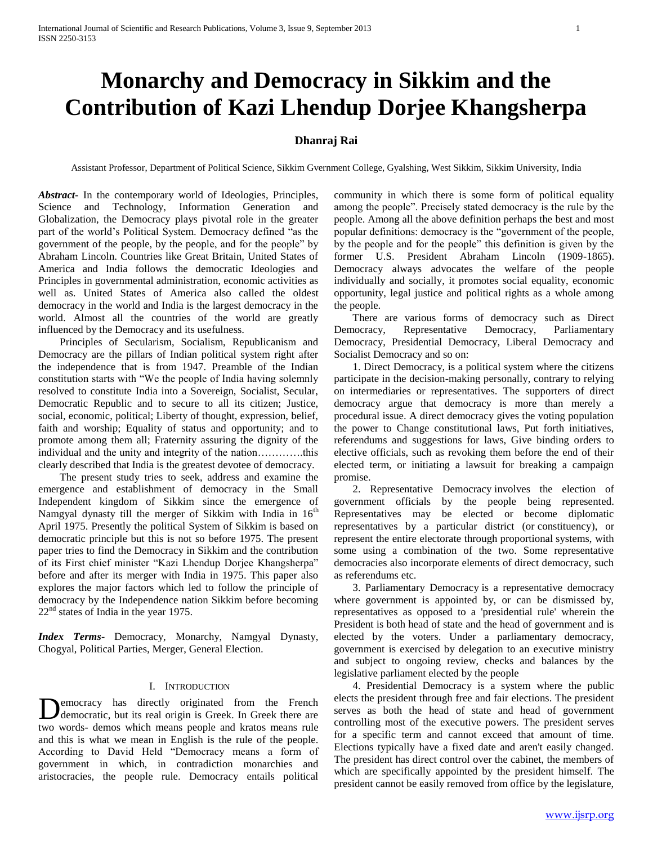# **Monarchy and Democracy in Sikkim and the Contribution of Kazi Lhendup Dorjee Khangsherpa**

# **Dhanraj Rai**

Assistant Professor, Department of Political Science, Sikkim Gvernment College, Gyalshing, West Sikkim, Sikkim University, India

*Abstract***-** In the contemporary world of Ideologies, Principles, Science and Technology, Information Generation and Globalization, the Democracy plays pivotal role in the greater part of the world's Political System. Democracy defined "as the government of the people, by the people, and for the people" by Abraham Lincoln. Countries like Great Britain, United States of America and India follows the democratic Ideologies and Principles in governmental administration, economic activities as well as. United States of America also called the oldest democracy in the world and India is the largest democracy in the world. Almost all the countries of the world are greatly influenced by the Democracy and its usefulness.

 Principles of Secularism, Socialism, Republicanism and Democracy are the pillars of Indian political system right after the independence that is from 1947. Preamble of the Indian constitution starts with "We the people of India having solemnly resolved to constitute India into a Sovereign, Socialist, Secular, Democratic Republic and to secure to all its citizen; Justice, social, economic, political; Liberty of thought, expression, belief, faith and worship; Equality of status and opportunity; and to promote among them all; Fraternity assuring the dignity of the individual and the unity and integrity of the nation………….this clearly described that India is the greatest devotee of democracy.

 The present study tries to seek, address and examine the emergence and establishment of democracy in the Small Independent kingdom of Sikkim since the emergence of Namgyal dynasty till the merger of Sikkim with India in  $16<sup>th</sup>$ April 1975. Presently the political System of Sikkim is based on democratic principle but this is not so before 1975. The present paper tries to find the Democracy in Sikkim and the contribution of its First chief minister "Kazi Lhendup Dorjee Khangsherpa" before and after its merger with India in 1975. This paper also explores the major factors which led to follow the principle of democracy by the Independence nation Sikkim before becoming  $22<sup>nd</sup>$  states of India in the year 1975.

*Index Terms*- Democracy, Monarchy, Namgyal Dynasty, Chogyal, Political Parties, Merger, General Election.

# I. INTRODUCTION

emocracy has directly originated from the French democratic, but its real origin is Greek. In Greek there are **D**emocracy has directly originated from the French democratic, but its real origin is Greek. In Greek there are two words- demos which means people and kratos means rule and this is what we mean in English is the rule of the people. According to David Held "Democracy means a form of government in which, in contradiction monarchies and aristocracies, the people rule. Democracy entails political

community in which there is some form of political equality among the people". Precisely stated democracy is the rule by the people. Among all the above definition perhaps the best and most popular definitions: democracy is the "government of the people, by the people and for the people" this definition is given by the former U.S. President Abraham Lincoln (1909-1865). Democracy always advocates the welfare of the people individually and socially, it promotes social equality, economic opportunity, legal justice and political rights as a whole among the people.

 There are various forms of democracy such as Direct Democracy, Representative Democracy, Parliamentary Democracy, Presidential Democracy, Liberal Democracy and Socialist Democracy and so on:

 1. Direct Democracy, is a political system where the citizens participate in the decision-making personally, contrary to relying on intermediaries or representatives. The supporters of direct democracy argue that democracy is more than merely a procedural issue. A direct democracy gives the voting population the power to Change constitutional laws, Put forth initiatives, referendums and suggestions for laws, Give binding orders to elective officials, such as revoking them before the end of their elected term, or initiating a lawsuit for breaking a campaign promise.

 2. Representative Democracy involves the election of government officials by the people being represented. Representatives may be elected or become diplomatic representatives by a particular district (or constituency), or represent the entire electorate through proportional systems, with some using a combination of the two. Some representative democracies also incorporate elements of direct democracy, such as referendums etc.

 3. Parliamentary Democracy is a representative democracy where government is appointed by, or can be dismissed by, representatives as opposed to a 'presidential rule' wherein the President is both head of state and the head of government and is elected by the voters. Under a parliamentary democracy, government is exercised by delegation to an executive ministry and subject to ongoing review, checks and balances by the legislative parliament elected by the people

 4. Presidential Democracy is a system where the public elects the president through free and fair elections. The president serves as both the head of state and head of government controlling most of the executive powers. The president serves for a specific term and cannot exceed that amount of time. Elections typically have a fixed date and aren't easily changed. The president has direct control over the cabinet, the members of which are specifically appointed by the president himself. The president cannot be easily removed from office by the legislature,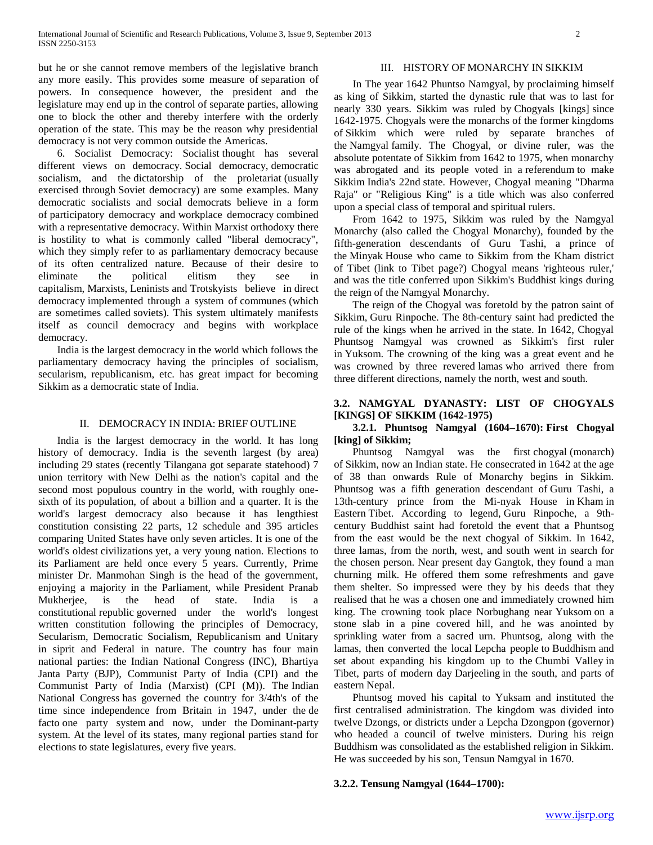but he or she cannot remove members of the legislative branch any more easily. This provides some measure of separation of powers. In consequence however, the president and the legislature may end up in the control of separate parties, allowing one to block the other and thereby interfere with the orderly operation of the state. This may be the reason why presidential democracy is not very common outside the Americas.

 6. Socialist Democracy: Socialist thought has several different views on democracy. Social democracy, democratic socialism, and the dictatorship of the proletariat (usually exercised through Soviet democracy) are some examples. Many democratic socialists and social democrats believe in a form of participatory democracy and workplace democracy combined with a representative democracy. Within Marxist orthodoxy there is hostility to what is commonly called "liberal democracy", which they simply refer to as parliamentary democracy because of its often centralized nature. Because of their desire to eliminate the political elitism they see in capitalism, Marxists, Leninists and Trotskyists believe in direct democracy implemented through a system of communes (which are sometimes called soviets). This system ultimately manifests itself as council democracy and begins with workplace democracy.

 India is the largest democracy in the world which follows the parliamentary democracy having the principles of socialism, secularism, republicanism, etc. has great impact for becoming Sikkim as a democratic state of India.

# II. DEMOCRACY IN INDIA: BRIEF OUTLINE

 India is the largest democracy in the world. It has long history of democracy. India is the seventh largest (by area) including 29 states (recently Tilangana got separate statehood) 7 union territory with New Delhi as the nation's capital and the second most populous country in the world, with roughly onesixth of its population, of about a billion and a quarter. It is the world's largest democracy also because it has lengthiest constitution consisting 22 parts, 12 schedule and 395 articles comparing United States have only seven articles. It is one of the world's oldest civilizations yet, a very young nation. Elections to its Parliament are held once every 5 years. Currently, Prime minister Dr. Manmohan Singh is the head of the government, enjoying a majority in the Parliament, while President Pranab Mukherjee, is the head of state. India is constitutional republic governed under the world's longest written constitution following the principles of Democracy, Secularism, Democratic Socialism, Republicanism and Unitary in siprit and Federal in nature. The country has four main national parties: the Indian National Congress (INC), Bhartiya Janta Party (BJP), Communist Party of India (CPI) and the Communist Party of India (Marxist) (CPI (M)). The Indian National Congress has governed the country for 3/4th's of the time since independence from Britain in 1947, under the de facto one party system and now, under the Dominant-party system. At the level of its states, many regional parties stand for elections to state legislatures, every five years.

# III. HISTORY OF MONARCHY IN SIKKIM

 In The year 1642 Phuntso Namgyal, by proclaiming himself as king of Sikkim, started the dynastic rule that was to last for nearly 330 years. Sikkim was ruled by Chogyals [kings] since 1642-1975. Chogyals were the monarchs of the former kingdoms of Sikkim which were ruled by separate branches of the Namgyal family. The Chogyal, or divine ruler, was the absolute potentate of Sikkim from 1642 to 1975, when monarchy was abrogated and its people voted in a referendum to make Sikkim India's 22nd state. However, Chogyal meaning "Dharma Raja" or "Religious King" is a title which was also conferred upon a special class of temporal and spiritual rulers.

 From 1642 to 1975, Sikkim was ruled by the Namgyal Monarchy (also called the Chogyal Monarchy), founded by the fifth-generation descendants of Guru Tashi, a prince of the Minyak House who came to Sikkim from the Kham district of Tibet (link to Tibet page?) Chogyal means 'righteous ruler,' and was the title conferred upon Sikkim's Buddhist kings during the reign of the Namgyal Monarchy.

 The reign of the Chogyal was foretold by the patron saint of Sikkim, Guru Rinpoche. The 8th-century saint had predicted the rule of the kings when he arrived in the state. In 1642, Chogyal Phuntsog Namgyal was crowned as Sikkim's first ruler in Yuksom. The crowning of the king was a great event and he was crowned by three revered lamas who arrived there from three different directions, namely the north, west and south.

# **3.2. NAMGYAL DYANASTY: LIST OF CHOGYALS [KINGS] OF SIKKIM (1642-1975)**

# **3.2.1. Phuntsog Namgyal (1604–1670): First Chogyal [king] of Sikkim;**

 Phuntsog Namgyal was the first chogyal (monarch) of Sikkim, now an Indian state. He consecrated in 1642 at the age of 38 than onwards Rule of Monarchy begins in Sikkim. Phuntsog was a fifth generation descendant of Guru Tashi, a 13th-century prince from the Mi-nyak House in Kham in Eastern Tibet. According to legend, Guru Rinpoche, a 9thcentury Buddhist saint had foretold the event that a Phuntsog from the east would be the next chogyal of Sikkim. In 1642, three lamas, from the north, west, and south went in search for the chosen person. Near present day Gangtok, they found a man churning milk. He offered them some refreshments and gave them shelter. So impressed were they by his deeds that they realised that he was a chosen one and immediately crowned him king. The crowning took place Norbughang near Yuksom on a stone slab in a pine covered hill, and he was anointed by sprinkling water from a sacred urn. Phuntsog, along with the lamas, then converted the local Lepcha people to Buddhism and set about expanding his kingdom up to the Chumbi Valley in Tibet, parts of modern day Darjeeling in the south, and parts of eastern Nepal.

 Phuntsog moved his capital to Yuksam and instituted the first centralised administration. The kingdom was divided into twelve Dzongs, or districts under a Lepcha Dzongpon (governor) who headed a council of twelve ministers. During his reign Buddhism was consolidated as the established religion in Sikkim. He was succeeded by his son, Tensun Namgyal in 1670.

# **3.2.2. Tensung Namgyal (1644–1700):**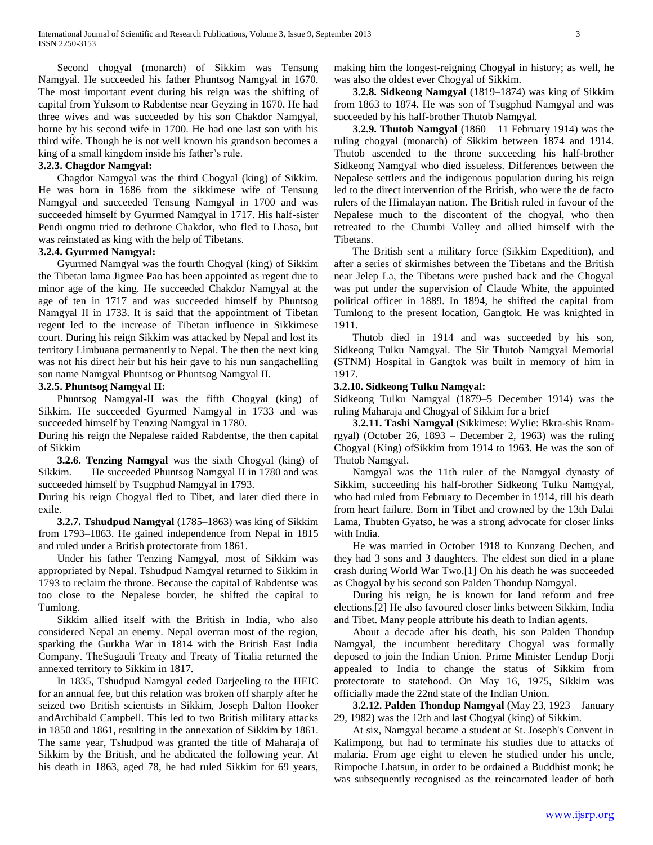Second chogyal (monarch) of Sikkim was Tensung Namgyal. He succeeded his father Phuntsog Namgyal in 1670. The most important event during his reign was the shifting of capital from Yuksom to Rabdentse near Geyzing in 1670. He had three wives and was succeeded by his son Chakdor Namgyal, borne by his second wife in 1700. He had one last son with his third wife. Though he is not well known his grandson becomes a king of a small kingdom inside his father's rule.

#### **3.2.3. Chagdor Namgyal:**

 Chagdor Namgyal was the third Chogyal (king) of Sikkim. He was born in 1686 from the sikkimese wife of Tensung Namgyal and succeeded Tensung Namgyal in 1700 and was succeeded himself by Gyurmed Namgyal in 1717. His half-sister Pendi ongmu tried to dethrone Chakdor, who fled to Lhasa, but was reinstated as king with the help of Tibetans.

#### **3.2.4. Gyurmed Namgyal:**

 Gyurmed Namgyal was the fourth Chogyal (king) of Sikkim the Tibetan lama Jigmee Pao has been appointed as regent due to minor age of the king. He succeeded Chakdor Namgyal at the age of ten in 1717 and was succeeded himself by Phuntsog Namgyal II in 1733. It is said that the appointment of Tibetan regent led to the increase of Tibetan influence in Sikkimese court. During his reign Sikkim was attacked by Nepal and lost its territory Limbuana permanently to Nepal. The then the next king was not his direct heir but his heir gave to his nun sangachelling son name Namgyal Phuntsog or Phuntsog Namgyal II.

#### **3.2.5. Phuntsog Namgyal II:**

 Phuntsog Namgyal-II was the fifth Chogyal (king) of Sikkim. He succeeded Gyurmed Namgyal in 1733 and was succeeded himself by Tenzing Namgyal in 1780.

During his reign the Nepalese raided Rabdentse, the then capital of Sikkim

 **3.2.6. Tenzing Namgyal** was the sixth Chogyal (king) of Sikkim. He succeeded Phuntsog Namgyal II in 1780 and was succeeded himself by Tsugphud Namgyal in 1793.

During his reign Chogyal fled to Tibet, and later died there in exile.

 **3.2.7. Tshudpud Namgyal** (1785–1863) was king of Sikkim from 1793–1863. He gained independence from Nepal in 1815 and ruled under a British protectorate from 1861.

 Under his father Tenzing Namgyal, most of Sikkim was appropriated by Nepal. Tshudpud Namgyal returned to Sikkim in 1793 to reclaim the throne. Because the capital of Rabdentse was too close to the Nepalese border, he shifted the capital to Tumlong.

 Sikkim allied itself with the British in India, who also considered Nepal an enemy. Nepal overran most of the region, sparking the Gurkha War in 1814 with the British East India Company. TheSugauli Treaty and Treaty of Titalia returned the annexed territory to Sikkim in 1817.

 In 1835, Tshudpud Namgyal ceded Darjeeling to the HEIC for an annual fee, but this relation was broken off sharply after he seized two British scientists in Sikkim, Joseph Dalton Hooker andArchibald Campbell. This led to two British military attacks in 1850 and 1861, resulting in the annexation of Sikkim by 1861. The same year, Tshudpud was granted the title of Maharaja of Sikkim by the British, and he abdicated the following year. At his death in 1863, aged 78, he had ruled Sikkim for 69 years,

making him the longest-reigning Chogyal in history; as well, he was also the oldest ever Chogyal of Sikkim.

 **3.2.8. Sidkeong Namgyal** (1819–1874) was king of Sikkim from 1863 to 1874. He was son of Tsugphud Namgyal and was succeeded by his half-brother Thutob Namgyal.

 **3.2.9. Thutob Namgyal** (1860 – 11 February 1914) was the ruling chogyal (monarch) of Sikkim between 1874 and 1914. Thutob ascended to the throne succeeding his half-brother Sidkeong Namgyal who died issueless. Differences between the Nepalese settlers and the indigenous population during his reign led to the direct intervention of the British, who were the de facto rulers of the Himalayan nation. The British ruled in favour of the Nepalese much to the discontent of the chogyal, who then retreated to the Chumbi Valley and allied himself with the Tibetans.

 The British sent a military force (Sikkim Expedition), and after a series of skirmishes between the Tibetans and the British near Jelep La, the Tibetans were pushed back and the Chogyal was put under the supervision of Claude White, the appointed political officer in 1889. In 1894, he shifted the capital from Tumlong to the present location, Gangtok. He was knighted in 1911.

 Thutob died in 1914 and was succeeded by his son, Sidkeong Tulku Namgyal. The Sir Thutob Namgyal Memorial (STNM) Hospital in Gangtok was built in memory of him in 1917.

#### **3.2.10. Sidkeong Tulku Namgyal:**

Sidkeong Tulku Namgyal (1879–5 December 1914) was the ruling Maharaja and Chogyal of Sikkim for a brief

 **3.2.11. Tashi Namgyal** (Sikkimese: Wylie: Bkra-shis Rnamrgyal) (October 26, 1893 – December 2, 1963) was the ruling Chogyal (King) ofSikkim from 1914 to 1963. He was the son of Thutob Namgyal.

 Namgyal was the 11th ruler of the Namgyal dynasty of Sikkim, succeeding his half-brother Sidkeong Tulku Namgyal, who had ruled from February to December in 1914, till his death from heart failure. Born in Tibet and crowned by the 13th Dalai Lama, Thubten Gyatso, he was a strong advocate for closer links with India.

 He was married in October 1918 to Kunzang Dechen, and they had 3 sons and 3 daughters. The eldest son died in a plane crash during World War Two.[1] On his death he was succeeded as Chogyal by his second son Palden Thondup Namgyal.

 During his reign, he is known for land reform and free elections.[2] He also favoured closer links between Sikkim, India and Tibet. Many people attribute his death to Indian agents.

 About a decade after his death, his son Palden Thondup Namgyal, the incumbent hereditary Chogyal was formally deposed to join the Indian Union. Prime Minister Lendup Dorji appealed to India to change the status of Sikkim from protectorate to statehood. On May 16, 1975, Sikkim was officially made the 22nd state of the Indian Union.

 **3.2.12. Palden Thondup Namgyal** (May 23, 1923 – January 29, 1982) was the 12th and last Chogyal (king) of Sikkim.

 At six, Namgyal became a student at St. Joseph's Convent in Kalimpong, but had to terminate his studies due to attacks of malaria. From age eight to eleven he studied under his uncle, Rimpoche Lhatsun, in order to be ordained a Buddhist monk; he was subsequently recognised as the reincarnated leader of both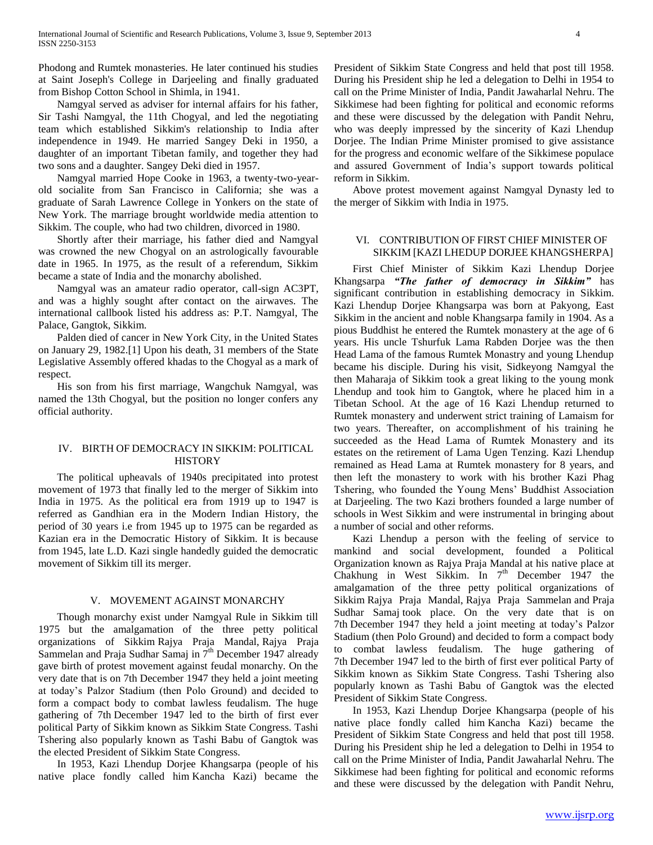Phodong and Rumtek monasteries. He later continued his studies at Saint Joseph's College in Darjeeling and finally graduated from Bishop Cotton School in Shimla, in 1941.

 Namgyal served as adviser for internal affairs for his father, Sir Tashi Namgyal, the 11th Chogyal, and led the negotiating team which established Sikkim's relationship to India after independence in 1949. He married Sangey Deki in 1950, a daughter of an important Tibetan family, and together they had two sons and a daughter. Sangey Deki died in 1957.

 Namgyal married Hope Cooke in 1963, a twenty-two-yearold socialite from San Francisco in California; she was a graduate of Sarah Lawrence College in Yonkers on the state of New York. The marriage brought worldwide media attention to Sikkim. The couple, who had two children, divorced in 1980.

 Shortly after their marriage, his father died and Namgyal was crowned the new Chogyal on an astrologically favourable date in 1965. In 1975, as the result of a referendum, Sikkim became a state of India and the monarchy abolished.

 Namgyal was an amateur radio operator, call-sign AC3PT, and was a highly sought after contact on the airwaves. The international callbook listed his address as: P.T. Namgyal, The Palace, Gangtok, Sikkim.

 Palden died of cancer in New York City, in the United States on January 29, 1982.[1] Upon his death, 31 members of the State Legislative Assembly offered khadas to the Chogyal as a mark of respect.

 His son from his first marriage, Wangchuk Namgyal, was named the 13th Chogyal, but the position no longer confers any official authority.

# IV. BIRTH OF DEMOCRACY IN SIKKIM: POLITICAL **HISTORY**

 The political upheavals of 1940s precipitated into protest movement of 1973 that finally led to the merger of Sikkim into India in 1975. As the political era from 1919 up to 1947 is referred as Gandhian era in the Modern Indian History, the period of 30 years i.e from 1945 up to 1975 can be regarded as Kazian era in the Democratic History of Sikkim. It is because from 1945, late L.D. Kazi single handedly guided the democratic movement of Sikkim till its merger.

## V. MOVEMENT AGAINST MONARCHY

 Though monarchy exist under Namgyal Rule in Sikkim till 1975 but the amalgamation of the three petty political organizations of Sikkim Rajya Praja Mandal, Rajya Praja Sammelan and Praja Sudhar Samaj in  $7<sup>th</sup>$  December 1947 already gave birth of protest movement against feudal monarchy. On the very date that is on 7th December 1947 they held a joint meeting at today's Palzor Stadium (then Polo Ground) and decided to form a compact body to combat lawless feudalism. The huge gathering of 7th December 1947 led to the birth of first ever political Party of Sikkim known as Sikkim State Congress. Tashi Tshering also popularly known as Tashi Babu of Gangtok was the elected President of Sikkim State Congress.

 In 1953, Kazi Lhendup Dorjee Khangsarpa (people of his native place fondly called him Kancha Kazi) became the President of Sikkim State Congress and held that post till 1958. During his President ship he led a delegation to Delhi in 1954 to call on the Prime Minister of India, Pandit Jawaharlal Nehru. The Sikkimese had been fighting for political and economic reforms and these were discussed by the delegation with Pandit Nehru, who was deeply impressed by the sincerity of Kazi Lhendup Dorjee. The Indian Prime Minister promised to give assistance for the progress and economic welfare of the Sikkimese populace and assured Government of India's support towards political reform in Sikkim.

 Above protest movement against Namgyal Dynasty led to the merger of Sikkim with India in 1975.

# VI. CONTRIBUTION OF FIRST CHIEF MINISTER OF SIKKIM [KAZI LHEDUP DORJEE KHANGSHERPA]

 First Chief Minister of Sikkim Kazi Lhendup Dorjee Khangsarpa *"The father of democracy in Sikkim"* has significant contribution in establishing democracy in Sikkim. Kazi Lhendup Dorjee Khangsarpa was born at Pakyong, East Sikkim in the ancient and noble Khangsarpa family in 1904. As a pious Buddhist he entered the Rumtek monastery at the age of 6 years. His uncle Tshurfuk Lama Rabden Dorjee was the then Head Lama of the famous Rumtek Monastry and young Lhendup became his disciple. During his visit, Sidkeyong Namgyal the then Maharaja of Sikkim took a great liking to the young monk Lhendup and took him to Gangtok, where he placed him in a Tibetan School. At the age of 16 Kazi Lhendup returned to Rumtek monastery and underwent strict training of Lamaism for two years. Thereafter, on accomplishment of his training he succeeded as the Head Lama of Rumtek Monastery and its estates on the retirement of Lama Ugen Tenzing. Kazi Lhendup remained as Head Lama at Rumtek monastery for 8 years, and then left the monastery to work with his brother Kazi Phag Tshering, who founded the Young Mens' Buddhist Association at Darjeeling. The two Kazi brothers founded a large number of schools in West Sikkim and were instrumental in bringing about a number of social and other reforms.

 Kazi Lhendup a person with the feeling of service to mankind and social development, founded a Political Organization known as Rajya Praja Mandal at his native place at Chakhung in West Sikkim. In  $7<sup>th</sup>$  December 1947 the amalgamation of the three petty political organizations of Sikkim Rajya Praja Mandal, Rajya Praja Sammelan and Praja Sudhar Samaj took place. On the very date that is on 7th December 1947 they held a joint meeting at today's Palzor Stadium (then Polo Ground) and decided to form a compact body to combat lawless feudalism. The huge gathering of 7th December 1947 led to the birth of first ever political Party of Sikkim known as Sikkim State Congress. Tashi Tshering also popularly known as Tashi Babu of Gangtok was the elected President of Sikkim State Congress.

 In 1953, Kazi Lhendup Dorjee Khangsarpa (people of his native place fondly called him Kancha Kazi) became the President of Sikkim State Congress and held that post till 1958. During his President ship he led a delegation to Delhi in 1954 to call on the Prime Minister of India, Pandit Jawaharlal Nehru. The Sikkimese had been fighting for political and economic reforms and these were discussed by the delegation with Pandit Nehru,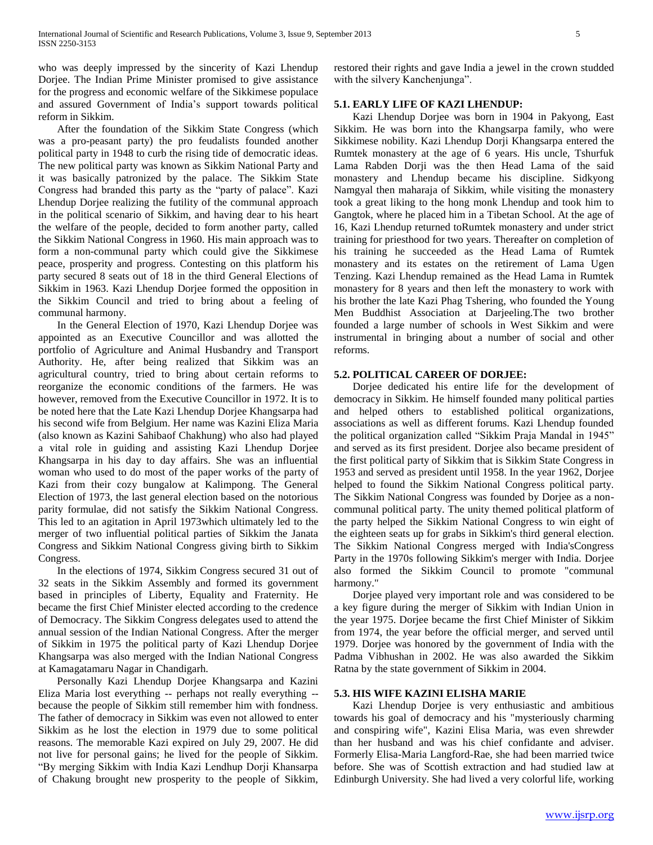who was deeply impressed by the sincerity of Kazi Lhendup Dorjee. The Indian Prime Minister promised to give assistance for the progress and economic welfare of the Sikkimese populace and assured Government of India's support towards political reform in Sikkim.

 After the foundation of the Sikkim State Congress (which was a pro-peasant party) the pro feudalists founded another political party in 1948 to curb the rising tide of democratic ideas. The new political party was known as Sikkim National Party and it was basically patronized by the palace. The Sikkim State Congress had branded this party as the "party of palace". Kazi Lhendup Dorjee realizing the futility of the communal approach in the political scenario of Sikkim, and having dear to his heart the welfare of the people, decided to form another party, called the Sikkim National Congress in 1960. His main approach was to form a non-communal party which could give the Sikkimese peace, prosperity and progress. Contesting on this platform his party secured 8 seats out of 18 in the third General Elections of Sikkim in 1963. Kazi Lhendup Dorjee formed the opposition in the Sikkim Council and tried to bring about a feeling of communal harmony.

 In the General Election of 1970, Kazi Lhendup Dorjee was appointed as an Executive Councillor and was allotted the portfolio of Agriculture and Animal Husbandry and Transport Authority. He, after being realized that Sikkim was an agricultural country, tried to bring about certain reforms to reorganize the economic conditions of the farmers. He was however, removed from the Executive Councillor in 1972. It is to be noted here that the Late Kazi Lhendup Dorjee Khangsarpa had his second wife from Belgium. Her name was Kazini Eliza Maria (also known as Kazini Sahibaof Chakhung) who also had played a vital role in guiding and assisting Kazi Lhendup Dorjee Khangsarpa in his day to day affairs. She was an influential woman who used to do most of the paper works of the party of Kazi from their cozy bungalow at Kalimpong. The General Election of 1973, the last general election based on the notorious parity formulae, did not satisfy the Sikkim National Congress. This led to an agitation in April 1973which ultimately led to the merger of two influential political parties of Sikkim the Janata Congress and Sikkim National Congress giving birth to Sikkim Congress.

 In the elections of 1974, Sikkim Congress secured 31 out of 32 seats in the Sikkim Assembly and formed its government based in principles of Liberty, Equality and Fraternity. He became the first Chief Minister elected according to the credence of Democracy. The Sikkim Congress delegates used to attend the annual session of the Indian National Congress. After the merger of Sikkim in 1975 the political party of Kazi Lhendup Dorjee Khangsarpa was also merged with the Indian National Congress at Kamagatamaru Nagar in Chandigarh.

 Personally Kazi Lhendup Dorjee Khangsarpa and Kazini Eliza Maria lost everything -- perhaps not really everything - because the people of Sikkim still remember him with fondness. The father of democracy in Sikkim was even not allowed to enter Sikkim as he lost the election in 1979 due to some political reasons. The memorable Kazi expired on July 29, 2007. He did not live for personal gains; he lived for the people of Sikkim. "By merging Sikkim with India Kazi Lendhup Dorji Khansarpa of Chakung brought new prosperity to the people of Sikkim,

restored their rights and gave India a jewel in the crown studded with the silvery Kanchenjunga".

# **5.1. EARLY LIFE OF KAZI LHENDUP:**

 Kazi Lhendup Dorjee was born in 1904 in Pakyong, East Sikkim. He was born into the Khangsarpa family, who were Sikkimese nobility. Kazi Lhendup Dorji Khangsarpa entered the Rumtek monastery at the age of 6 years. His uncle, Tshurfuk Lama Rabden Dorji was the then Head Lama of the said monastery and Lhendup became his discipline. Sidkyong Namgyal then maharaja of Sikkim, while visiting the monastery took a great liking to the hong monk Lhendup and took him to Gangtok, where he placed him in a Tibetan School. At the age of 16, Kazi Lhendup returned toRumtek monastery and under strict training for priesthood for two years. Thereafter on completion of his training he succeeded as the Head Lama of Rumtek monastery and its estates on the retirement of Lama Ugen Tenzing. Kazi Lhendup remained as the Head Lama in Rumtek monastery for 8 years and then left the monastery to work with his brother the late Kazi Phag Tshering, who founded the Young Men Buddhist Association at Darjeeling.The two brother founded a large number of schools in West Sikkim and were instrumental in bringing about a number of social and other reforms.

#### **5.2. POLITICAL CAREER OF DORJEE:**

 Dorjee dedicated his entire life for the development of democracy in Sikkim. He himself founded many political parties and helped others to established political organizations, associations as well as different forums. Kazi Lhendup founded the political organization called "Sikkim Praja Mandal in 1945" and served as its first president. Dorjee also became president of the first political party of Sikkim that is Sikkim State Congress in 1953 and served as president until 1958. In the year 1962, Dorjee helped to found the Sikkim National Congress political party. The Sikkim National Congress was founded by Dorjee as a noncommunal political party. The unity themed political platform of the party helped the Sikkim National Congress to win eight of the eighteen seats up for grabs in Sikkim's third general election. The Sikkim National Congress merged with India'sCongress Party in the 1970s following Sikkim's merger with India. Dorjee also formed the Sikkim Council to promote "communal harmony."

 Dorjee played very important role and was considered to be a key figure during the merger of Sikkim with Indian Union in the year 1975. Dorjee became the first Chief Minister of Sikkim from 1974, the year before the official merger, and served until 1979. Dorjee was honored by the government of India with the Padma Vibhushan in 2002. He was also awarded the Sikkim Ratna by the state government of Sikkim in 2004.

#### **5.3. HIS WIFE KAZINI ELISHA MARIE**

 Kazi Lhendup Dorjee is very enthusiastic and ambitious towards his goal of democracy and his "mysteriously charming and conspiring wife", Kazini Elisa Maria, was even shrewder than her husband and was his chief confidante and adviser. Formerly Elisa-Maria Langford-Rae, she had been married twice before. She was of Scottish extraction and had studied law at Edinburgh University. She had lived a very colorful life, working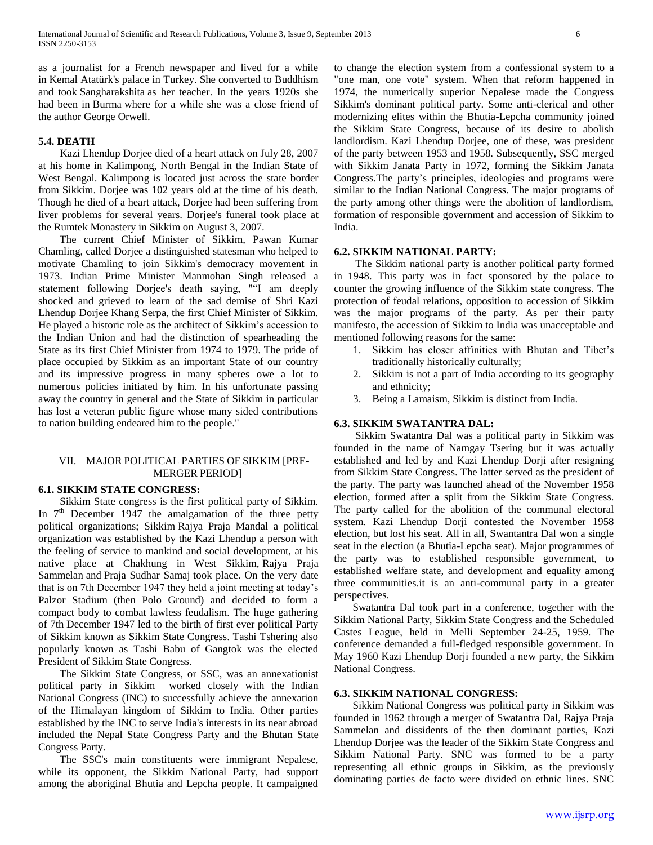as a journalist for a French newspaper and lived for a while in Kemal Atatürk's palace in Turkey. She converted to Buddhism and took Sangharakshita as her teacher. In the years 1920s she had been in Burma where for a while she was a close friend of the author George Orwell.

#### **5.4. DEATH**

 Kazi Lhendup Dorjee died of a heart attack on July 28, 2007 at his home in Kalimpong, North Bengal in the Indian State of West Bengal. Kalimpong is located just across the state border from Sikkim. Dorjee was 102 years old at the time of his death. Though he died of a heart attack, Dorjee had been suffering from liver problems for several years. Dorjee's funeral took place at the Rumtek Monastery in Sikkim on August 3, 2007.

 The current Chief Minister of Sikkim, Pawan Kumar Chamling, called Dorjee a distinguished statesman who helped to motivate Chamling to join Sikkim's democracy movement in 1973. Indian Prime Minister Manmohan Singh released a statement following Dorjee's death saying, ""I am deeply shocked and grieved to learn of the sad demise of Shri Kazi Lhendup Dorjee Khang Serpa, the first Chief Minister of Sikkim. He played a historic role as the architect of Sikkim's accession to the Indian Union and had the distinction of spearheading the State as its first Chief Minister from 1974 to 1979. The pride of place occupied by Sikkim as an important State of our country and its impressive progress in many spheres owe a lot to numerous policies initiated by him. In his unfortunate passing away the country in general and the State of Sikkim in particular has lost a veteran public figure whose many sided contributions to nation building endeared him to the people."

# VII. MAJOR POLITICAL PARTIES OF SIKKIM [PRE-MERGER PERIOD]

#### **6.1. SIKKIM STATE CONGRESS:**

 Sikkim State congress is the first political party of Sikkim. In  $7<sup>th</sup>$  December 1947 the amalgamation of the three petty political organizations; Sikkim Rajya Praja Mandal a political organization was established by the Kazi Lhendup a person with the feeling of service to mankind and social development, at his native place at Chakhung in West Sikkim, Rajya Praja Sammelan and Praja Sudhar Samaj took place. On the very date that is on 7th December 1947 they held a joint meeting at today's Palzor Stadium (then Polo Ground) and decided to form a compact body to combat lawless feudalism. The huge gathering of 7th December 1947 led to the birth of first ever political Party of Sikkim known as Sikkim State Congress. Tashi Tshering also popularly known as Tashi Babu of Gangtok was the elected President of Sikkim State Congress.

 The Sikkim State Congress, or SSC, was an annexationist political party in Sikkim worked closely with the Indian National Congress (INC) to successfully achieve the annexation of the Himalayan kingdom of Sikkim to India. Other parties established by the INC to serve India's interests in its near abroad included the Nepal State Congress Party and the Bhutan State Congress Party.

 The SSC's main constituents were immigrant Nepalese, while its opponent, the Sikkim National Party, had support among the aboriginal Bhutia and Lepcha people. It campaigned to change the election system from a confessional system to a "one man, one vote" system. When that reform happened in 1974, the numerically superior Nepalese made the Congress Sikkim's dominant political party. Some anti-clerical and other modernizing elites within the Bhutia-Lepcha community joined the Sikkim State Congress, because of its desire to abolish landlordism. Kazi Lhendup Dorjee, one of these, was president of the party between 1953 and 1958. Subsequently, SSC merged with Sikkim Janata Party in 1972, forming the Sikkim Janata Congress.The party's principles, ideologies and programs were similar to the Indian National Congress. The major programs of the party among other things were the abolition of landlordism, formation of responsible government and accession of Sikkim to India.

## **6.2. SIKKIM NATIONAL PARTY:**

 The Sikkim national party is another political party formed in 1948. This party was in fact sponsored by the palace to counter the growing influence of the Sikkim state congress. The protection of feudal relations, opposition to accession of Sikkim was the major programs of the party. As per their party manifesto, the accession of Sikkim to India was unacceptable and mentioned following reasons for the same:

- 1. Sikkim has closer affinities with Bhutan and Tibet's traditionally historically culturally;
- 2. Sikkim is not a part of India according to its geography and ethnicity;
- 3. Being a Lamaism, Sikkim is distinct from India.

# **6.3. SIKKIM SWATANTRA DAL:**

 Sikkim Swatantra Dal was a political party in Sikkim was founded in the name of Namgay Tsering but it was actually established and led by and Kazi Lhendup Dorji after resigning from Sikkim State Congress. The latter served as the president of the party. The party was launched ahead of the November 1958 election, formed after a split from the Sikkim State Congress. The party called for the abolition of the communal electoral system. Kazi Lhendup Dorji contested the November 1958 election, but lost his seat. All in all, Swantantra Dal won a single seat in the election (a Bhutia-Lepcha seat). Major programmes of the party was to established responsible government, to established welfare state, and development and equality among three communities.it is an anti-communal party in a greater perspectives.

 Swatantra Dal took part in a conference, together with the Sikkim National Party, Sikkim State Congress and the Scheduled Castes League, held in Melli September 24-25, 1959. The conference demanded a full-fledged responsible government. In May 1960 Kazi Lhendup Dorji founded a new party, the Sikkim National Congress.

# **6.3. SIKKIM NATIONAL CONGRESS:**

 Sikkim National Congress was political party in Sikkim was founded in 1962 through a merger of Swatantra Dal, Rajya Praja Sammelan and dissidents of the then dominant parties, Kazi Lhendup Dorjee was the leader of the Sikkim State Congress and Sikkim National Party. SNC was formed to be a party representing all ethnic groups in Sikkim, as the previously dominating parties de facto were divided on ethnic lines. SNC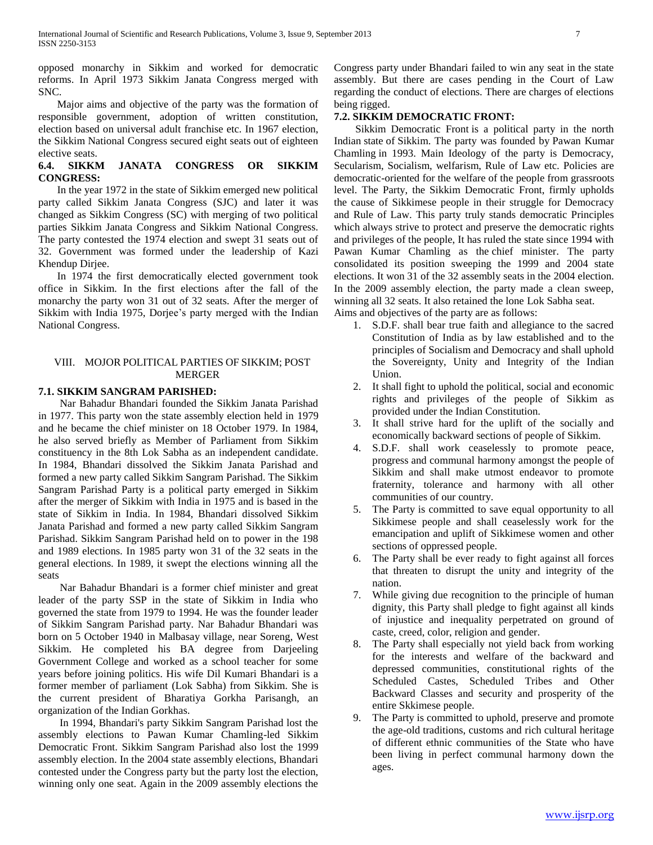opposed monarchy in Sikkim and worked for democratic reforms. In April 1973 Sikkim Janata Congress merged with SNC.

 Major aims and objective of the party was the formation of responsible government, adoption of written constitution, election based on universal adult franchise etc. In 1967 election, the Sikkim National Congress secured eight seats out of eighteen elective seats.

# **6.4. SIKKM JANATA CONGRESS OR SIKKIM CONGRESS:**

 In the year 1972 in the state of Sikkim emerged new political party called Sikkim Janata Congress (SJC) and later it was changed as Sikkim Congress (SC) with merging of two political parties Sikkim Janata Congress and Sikkim National Congress. The party contested the 1974 election and swept 31 seats out of 32. Government was formed under the leadership of Kazi Khendup Dirjee.

 In 1974 the first democratically elected government took office in Sikkim. In the first elections after the fall of the monarchy the party won 31 out of 32 seats. After the merger of Sikkim with India 1975, Dorjee's party merged with the Indian National Congress.

## VIII. MOJOR POLITICAL PARTIES OF SIKKIM; POST MERGER

## **7.1. SIKKIM SANGRAM PARISHED:**

 Nar Bahadur Bhandari founded the Sikkim Janata Parishad in 1977. This party won the state assembly election held in 1979 and he became the chief minister on 18 October 1979. In 1984, he also served briefly as Member of Parliament from Sikkim constituency in the 8th Lok Sabha as an independent candidate. In 1984, Bhandari dissolved the Sikkim Janata Parishad and formed a new party called Sikkim Sangram Parishad. The Sikkim Sangram Parishad Party is a political party emerged in Sikkim after the merger of Sikkim with India in 1975 and is based in the state of Sikkim in India. In 1984, Bhandari dissolved Sikkim Janata Parishad and formed a new party called Sikkim Sangram Parishad. Sikkim Sangram Parishad held on to power in the 198 and 1989 elections. In 1985 party won 31 of the 32 seats in the general elections. In 1989, it swept the elections winning all the seats

 Nar Bahadur Bhandari is a former chief minister and great leader of the party SSP in the state of Sikkim in India who governed the state from 1979 to 1994. He was the founder leader of Sikkim Sangram Parishad party. Nar Bahadur Bhandari was born on 5 October 1940 in Malbasay village, near Soreng, West Sikkim. He completed his BA degree from Darjeeling Government College and worked as a school teacher for some years before joining politics. His wife Dil Kumari Bhandari is a former member of parliament (Lok Sabha) from Sikkim. She is the current president of Bharatiya Gorkha Parisangh, an organization of the Indian Gorkhas.

 In 1994, Bhandari's party Sikkim Sangram Parishad lost the assembly elections to Pawan Kumar Chamling-led Sikkim Democratic Front. Sikkim Sangram Parishad also lost the 1999 assembly election. In the 2004 state assembly elections, Bhandari contested under the Congress party but the party lost the election, winning only one seat. Again in the 2009 assembly elections the Congress party under Bhandari failed to win any seat in the state assembly. But there are cases pending in the Court of Law regarding the conduct of elections. There are charges of elections being rigged.

# **7.2. SIKKIM DEMOCRATIC FRONT:**

 Sikkim Democratic Front is a political party in the north Indian state of Sikkim. The party was founded by Pawan Kumar Chamling in 1993. Main Ideology of the party is Democracy, Secularism, Socialism, welfarism, Rule of Law etc. Policies are democratic-oriented for the welfare of the people from grassroots level. The Party, the Sikkim Democratic Front, firmly upholds the cause of Sikkimese people in their struggle for Democracy and Rule of Law. This party truly stands democratic Principles which always strive to protect and preserve the democratic rights and privileges of the people, It has ruled the state since 1994 with Pawan Kumar Chamling as the chief minister. The party consolidated its position sweeping the 1999 and 2004 state elections. It won 31 of the 32 assembly seats in the 2004 election. In the 2009 assembly election, the party made a clean sweep, winning all 32 seats. It also retained the lone Lok Sabha seat. Aims and objectives of the party are as follows:

- 1. S.D.F. shall bear true faith and allegiance to the sacred Constitution of India as by law established and to the principles of Socialism and Democracy and shall uphold the Sovereignty, Unity and Integrity of the Indian Union.
- 2. It shall fight to uphold the political, social and economic rights and privileges of the people of Sikkim as provided under the Indian Constitution.
- 3. It shall strive hard for the uplift of the socially and economically backward sections of people of Sikkim.
- 4. S.D.F. shall work ceaselessly to promote peace, progress and communal harmony amongst the people of Sikkim and shall make utmost endeavor to promote fraternity, tolerance and harmony with all other communities of our country.
- 5. The Party is committed to save equal opportunity to all Sikkimese people and shall ceaselessly work for the emancipation and uplift of Sikkimese women and other sections of oppressed people.
- 6. The Party shall be ever ready to fight against all forces that threaten to disrupt the unity and integrity of the nation.
- 7. While giving due recognition to the principle of human dignity, this Party shall pledge to fight against all kinds of injustice and inequality perpetrated on ground of caste, creed, color, religion and gender.
- The Party shall especially not yield back from working for the interests and welfare of the backward and depressed communities, constitutional rights of the Scheduled Castes, Scheduled Tribes and Other Backward Classes and security and prosperity of the entire Skkimese people.
- 9. The Party is committed to uphold, preserve and promote the age-old traditions, customs and rich cultural heritage of different ethnic communities of the State who have been living in perfect communal harmony down the ages.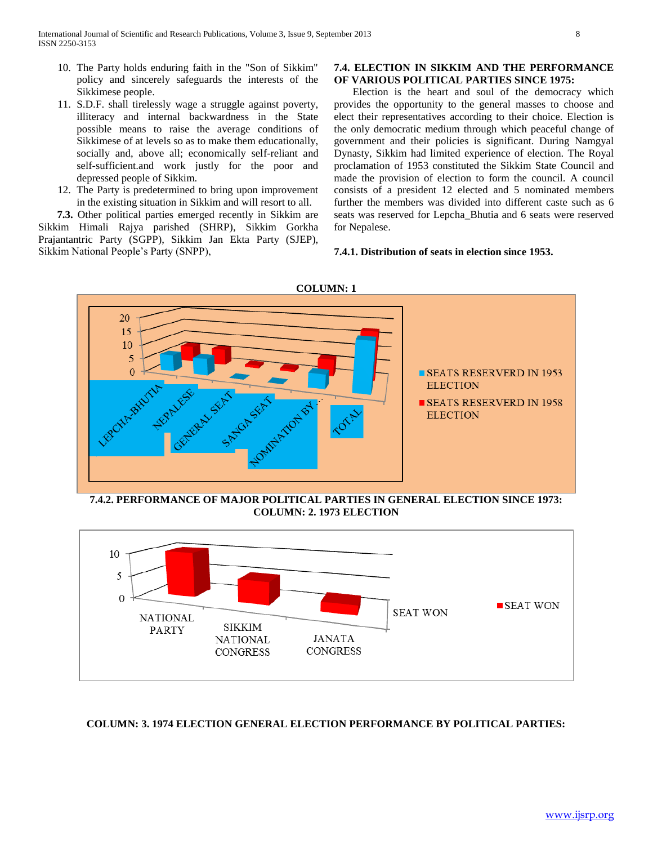- 10. The Party holds enduring faith in the "Son of Sikkim" policy and sincerely safeguards the interests of the Sikkimese people. 11. S.D.F. shall tirelessly wage a struggle against poverty,
- illiteracy and internal backwardness in the State possible means to raise the average conditions of Sikkimese of at levels so as to make them educationally, socially and, above all; economically self-reliant and self-sufficient.and work justly for the poor and depressed people of Sikkim.
- 12. The Party is predetermined to bring upon improvement in the existing situation in Sikkim and will resort to all.

 **7.3.** Other political parties emerged recently in Sikkim are Sikkim Himali Rajya parished (SHRP), Sikkim Gorkha Prajantantric Party (SGPP), Sikkim Jan Ekta Party (SJEP), Sikkim National People's Party (SNPP),

#### **7.4. ELECTION IN SIKKIM AND THE PERFORMANCE OF VARIOUS POLITICAL PARTIES SINCE 1975:**

Election is the heart and soul of the democracy which provides the opportunity to the general masses to choose and elect their representatives according to their choice. Election is the only democratic medium through which peaceful change of government and their policies is significant. During Namgyal Dynasty, Sikkim had limited experience of election. The Royal proclamation of 1953 constituted the Sikkim State Council and made the provision of election to form the council. A council consists of a president 12 elected and 5 nominated members further the members was divided into different caste such as 6 seats was reserved for Lepcha\_Bhutia and 6 seats were reserved for Nepalese.

## **7.4.1. Distribution of seats in election since 1953.**



**7.4.2. PERFORMANCE OF MAJOR POLITICAL PARTIES IN GENERAL ELECTION SINCE 1973: COLUMN: 2. 1973 ELECTION**



#### **COLUMN: 3. 1974 ELECTION GENERAL ELECTION PERFORMANCE BY POLITICAL PARTIES:**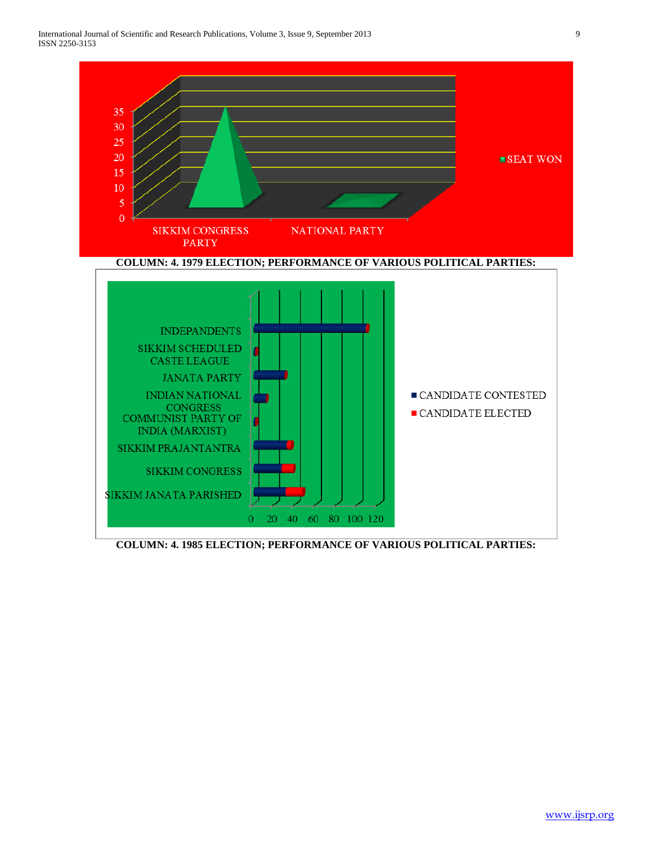

**COLUMN: 4. 1985 ELECTION; PERFORMANCE OF VARIOUS POLITICAL PARTIES:**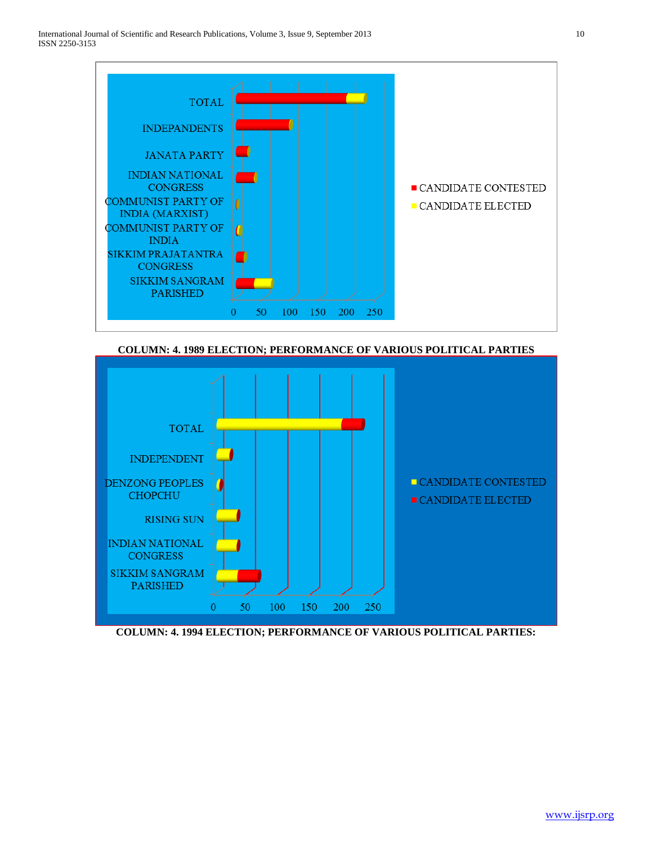

**COLUMN: 4. 1989 ELECTION; PERFORMANCE OF VARIOUS POLITICAL PARTIES**



**COLUMN: 4. 1994 ELECTION; PERFORMANCE OF VARIOUS POLITICAL PARTIES:**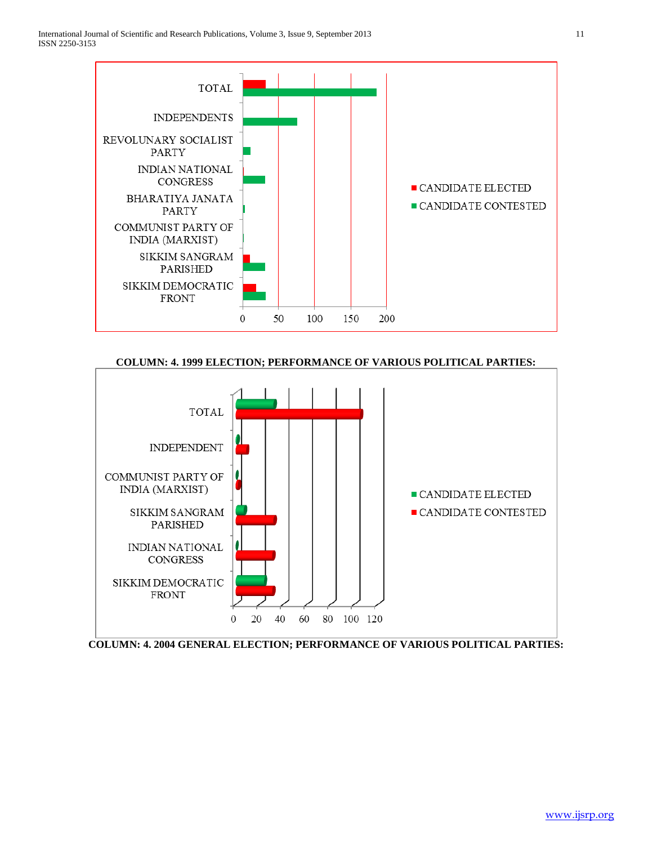

# **COLUMN: 4. 1999 ELECTION; PERFORMANCE OF VARIOUS POLITICAL PARTIES:**



**COLUMN: 4. 2004 GENERAL ELECTION; PERFORMANCE OF VARIOUS POLITICAL PARTIES:**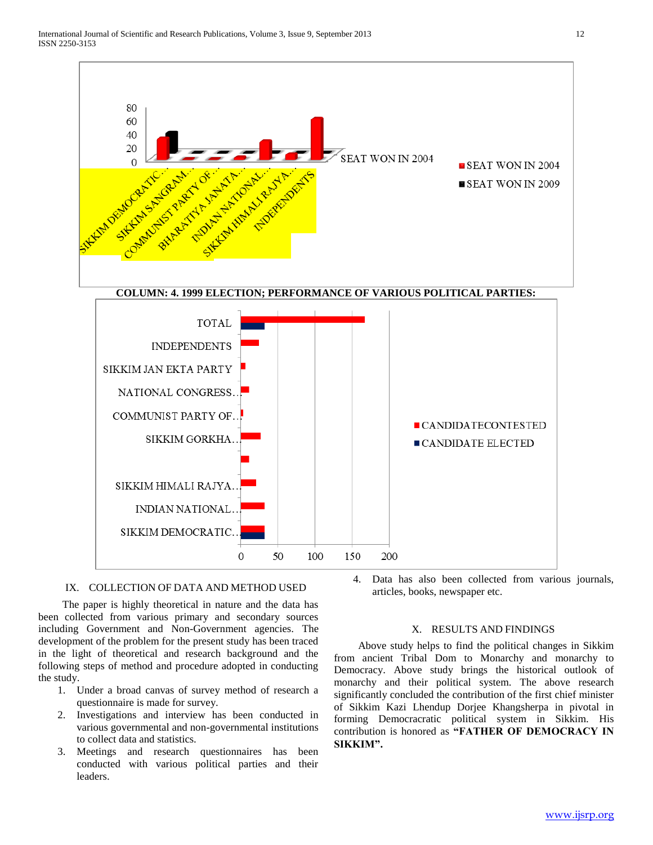

## IX. COLLECTION OF DATA AND METHOD USED

 The paper is highly theoretical in nature and the data has been collected from various primary and secondary sources including Government and Non-Government agencies. The development of the problem for the present study has been traced in the light of theoretical and research background and the following steps of method and procedure adopted in conducting the study.

- 1. Under a broad canvas of survey method of research a questionnaire is made for survey.
- 2. Investigations and interview has been conducted in various governmental and non-governmental institutions to collect data and statistics.
- 3. Meetings and research questionnaires has been conducted with various political parties and their leaders.

4. Data has also been collected from various journals, articles, books, newspaper etc.

#### X. RESULTS AND FINDINGS

 Above study helps to find the political changes in Sikkim from ancient Tribal Dom to Monarchy and monarchy to Democracy. Above study brings the historical outlook of monarchy and their political system. The above research significantly concluded the contribution of the first chief minister of Sikkim Kazi Lhendup Dorjee Khangsherpa in pivotal in forming Democracratic political system in Sikkim. His contribution is honored as **"FATHER OF DEMOCRACY IN SIKKIM".**